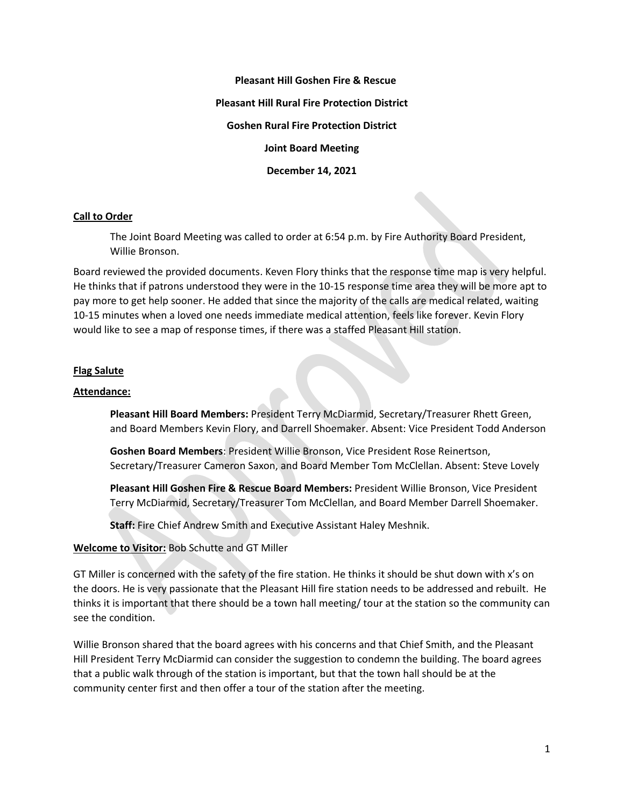**Pleasant Hill Goshen Fire & Rescue Pleasant Hill Rural Fire Protection District Goshen Rural Fire Protection District Joint Board Meeting December 14, 2021**

## **Call to Order**

The Joint Board Meeting was called to order at 6:54 p.m. by Fire Authority Board President, Willie Bronson.

Board reviewed the provided documents. Keven Flory thinks that the response time map is very helpful. He thinks that if patrons understood they were in the 10-15 response time area they will be more apt to pay more to get help sooner. He added that since the majority of the calls are medical related, waiting 10-15 minutes when a loved one needs immediate medical attention, feels like forever. Kevin Flory would like to see a map of response times, if there was a staffed Pleasant Hill station.

### **Flag Salute**

### **Attendance:**

**Pleasant Hill Board Members:** President Terry McDiarmid, Secretary/Treasurer Rhett Green, and Board Members Kevin Flory, and Darrell Shoemaker. Absent: Vice President Todd Anderson

**Goshen Board Members**: President Willie Bronson, Vice President Rose Reinertson, Secretary/Treasurer Cameron Saxon, and Board Member Tom McClellan. Absent: Steve Lovely

**Pleasant Hill Goshen Fire & Rescue Board Members:** President Willie Bronson, Vice President Terry McDiarmid, Secretary/Treasurer Tom McClellan, and Board Member Darrell Shoemaker.

**Staff:** Fire Chief Andrew Smith and Executive Assistant Haley Meshnik.

#### **Welcome to Visitor:** Bob Schutte and GT Miller

GT Miller is concerned with the safety of the fire station. He thinks it should be shut down with x's on the doors. He is very passionate that the Pleasant Hill fire station needs to be addressed and rebuilt. He thinks it is important that there should be a town hall meeting/ tour at the station so the community can see the condition.

Willie Bronson shared that the board agrees with his concerns and that Chief Smith, and the Pleasant Hill President Terry McDiarmid can consider the suggestion to condemn the building. The board agrees that a public walk through of the station is important, but that the town hall should be at the community center first and then offer a tour of the station after the meeting.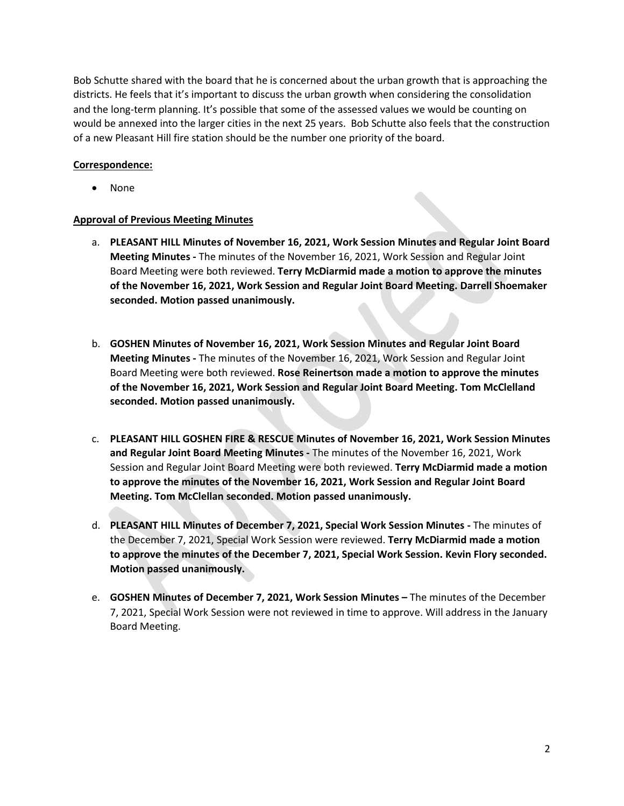Bob Schutte shared with the board that he is concerned about the urban growth that is approaching the districts. He feels that it's important to discuss the urban growth when considering the consolidation and the long-term planning. It's possible that some of the assessed values we would be counting on would be annexed into the larger cities in the next 25 years. Bob Schutte also feels that the construction of a new Pleasant Hill fire station should be the number one priority of the board.

# **Correspondence:**

• None

## **Approval of Previous Meeting Minutes**

- a. **PLEASANT HILL Minutes of November 16, 2021, Work Session Minutes and Regular Joint Board Meeting Minutes -** The minutes of the November 16, 2021, Work Session and Regular Joint Board Meeting were both reviewed. **Terry McDiarmid made a motion to approve the minutes of the November 16, 2021, Work Session and Regular Joint Board Meeting. Darrell Shoemaker seconded. Motion passed unanimously.**
- b. **GOSHEN Minutes of November 16, 2021, Work Session Minutes and Regular Joint Board Meeting Minutes -** The minutes of the November 16, 2021, Work Session and Regular Joint Board Meeting were both reviewed. **Rose Reinertson made a motion to approve the minutes of the November 16, 2021, Work Session and Regular Joint Board Meeting. Tom McClelland seconded. Motion passed unanimously.**
- c. **PLEASANT HILL GOSHEN FIRE & RESCUE Minutes of November 16, 2021, Work Session Minutes and Regular Joint Board Meeting Minutes -** The minutes of the November 16, 2021, Work Session and Regular Joint Board Meeting were both reviewed. **Terry McDiarmid made a motion to approve the minutes of the November 16, 2021, Work Session and Regular Joint Board Meeting. Tom McClellan seconded. Motion passed unanimously.**
- d. **PLEASANT HILL Minutes of December 7, 2021, Special Work Session Minutes -** The minutes of the December 7, 2021, Special Work Session were reviewed. **Terry McDiarmid made a motion to approve the minutes of the December 7, 2021, Special Work Session. Kevin Flory seconded. Motion passed unanimously.**
- e. **GOSHEN Minutes of December 7, 2021, Work Session Minutes –** The minutes of the December 7, 2021, Special Work Session were not reviewed in time to approve. Will address in the January Board Meeting.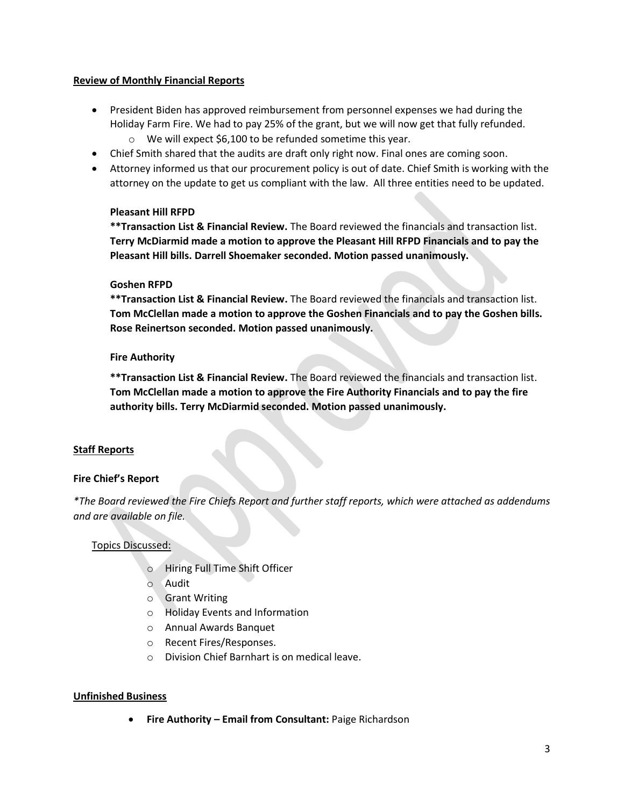## **Review of Monthly Financial Reports**

- President Biden has approved reimbursement from personnel expenses we had during the Holiday Farm Fire. We had to pay 25% of the grant, but we will now get that fully refunded.
	- o We will expect \$6,100 to be refunded sometime this year.
- Chief Smith shared that the audits are draft only right now. Final ones are coming soon.
- Attorney informed us that our procurement policy is out of date. Chief Smith is working with the attorney on the update to get us compliant with the law. All three entities need to be updated.

## **Pleasant Hill RFPD**

**\*\*Transaction List & Financial Review.** The Board reviewed the financials and transaction list. **Terry McDiarmid made a motion to approve the Pleasant Hill RFPD Financials and to pay the Pleasant Hill bills. Darrell Shoemaker seconded. Motion passed unanimously.**

## **Goshen RFPD**

**\*\*Transaction List & Financial Review.** The Board reviewed the financials and transaction list. **Tom McClellan made a motion to approve the Goshen Financials and to pay the Goshen bills. Rose Reinertson seconded. Motion passed unanimously.**

## **Fire Authority**

**\*\*Transaction List & Financial Review.** The Board reviewed the financials and transaction list. **Tom McClellan made a motion to approve the Fire Authority Financials and to pay the fire authority bills. Terry McDiarmid seconded. Motion passed unanimously.**

# **Staff Reports**

# **Fire Chief's Report**

*\*The Board reviewed the Fire Chiefs Report and further staff reports, which were attached as addendums and are available on file.* 

## Topics Discussed:

- o Hiring Full Time Shift Officer
- o Audit
- o Grant Writing
- o Holiday Events and Information
- o Annual Awards Banquet
- o Recent Fires/Responses.
- o Division Chief Barnhart is on medical leave.

## **Unfinished Business**

• **Fire Authority – Email from Consultant:** Paige Richardson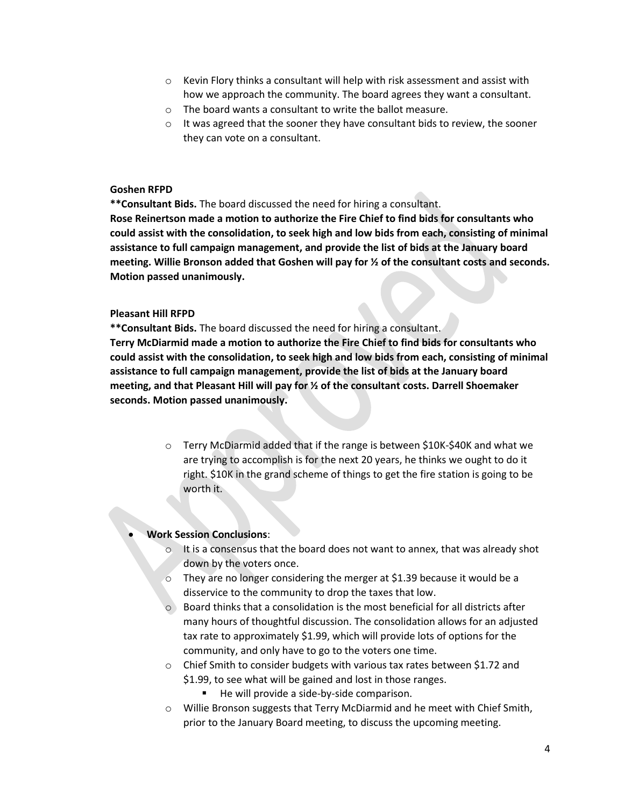- $\circ$  Kevin Flory thinks a consultant will help with risk assessment and assist with how we approach the community. The board agrees they want a consultant.
- o The board wants a consultant to write the ballot measure.
- $\circ$  It was agreed that the sooner they have consultant bids to review, the sooner they can vote on a consultant.

#### **Goshen RFPD**

**\*\*Consultant Bids.** The board discussed the need for hiring a consultant.

**Rose Reinertson made a motion to authorize the Fire Chief to find bids for consultants who could assist with the consolidation, to seek high and low bids from each, consisting of minimal assistance to full campaign management, and provide the list of bids at the January board meeting. Willie Bronson added that Goshen will pay for ½ of the consultant costs and seconds. Motion passed unanimously.** 

#### **Pleasant Hill RFPD**

**\*\*Consultant Bids.** The board discussed the need for hiring a consultant.

**Terry McDiarmid made a motion to authorize the Fire Chief to find bids for consultants who could assist with the consolidation, to seek high and low bids from each, consisting of minimal assistance to full campaign management, provide the list of bids at the January board meeting, and that Pleasant Hill will pay for ½ of the consultant costs. Darrell Shoemaker seconds. Motion passed unanimously.** 

> $\circ$  Terry McDiarmid added that if the range is between \$10K-\$40K and what we are trying to accomplish is for the next 20 years, he thinks we ought to do it right. \$10K in the grand scheme of things to get the fire station is going to be worth it.

#### • **Work Session Conclusions**:

- $\circ$  It is a consensus that the board does not want to annex, that was already shot down by the voters once.
- $\circ$  They are no longer considering the merger at \$1.39 because it would be a disservice to the community to drop the taxes that low.
- $\circ$  Board thinks that a consolidation is the most beneficial for all districts after many hours of thoughtful discussion. The consolidation allows for an adjusted tax rate to approximately \$1.99, which will provide lots of options for the community, and only have to go to the voters one time.
- o Chief Smith to consider budgets with various tax rates between \$1.72 and \$1.99, to see what will be gained and lost in those ranges.
	- He will provide a side-by-side comparison.
- o Willie Bronson suggests that Terry McDiarmid and he meet with Chief Smith, prior to the January Board meeting, to discuss the upcoming meeting.